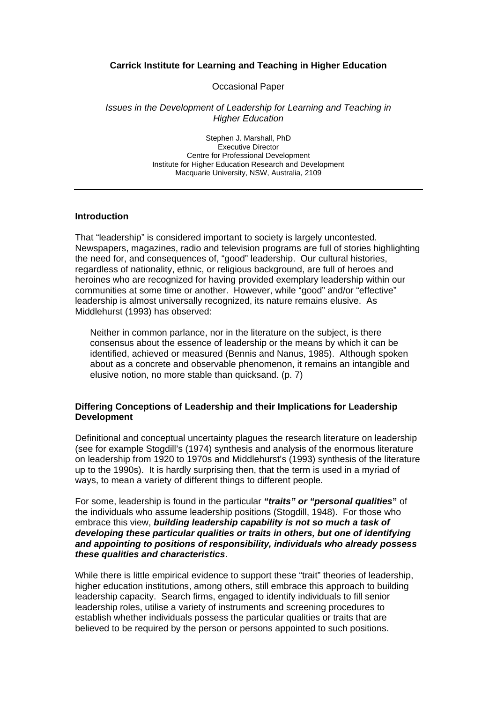## **Carrick Institute for Learning and Teaching in Higher Education**

Occasional Paper

#### *Issues in the Development of Leadership for Learning and Teaching in Higher Education*

Stephen J. Marshall, PhD Executive Director Centre for Professional Development Institute for Higher Education Research and Development Macquarie University, NSW, Australia, 2109

### **Introduction**

That "leadership" is considered important to society is largely uncontested. Newspapers, magazines, radio and television programs are full of stories highlighting the need for, and consequences of, "good" leadership. Our cultural histories, regardless of nationality, ethnic, or religious background, are full of heroes and heroines who are recognized for having provided exemplary leadership within our communities at some time or another. However, while "good" and/or "effective" leadership is almost universally recognized, its nature remains elusive. As Middlehurst (1993) has observed:

Neither in common parlance, nor in the literature on the subject, is there consensus about the essence of leadership or the means by which it can be identified, achieved or measured (Bennis and Nanus, 1985). Although spoken about as a concrete and observable phenomenon, it remains an intangible and elusive notion, no more stable than quicksand. (p. 7)

## **Differing Conceptions of Leadership and their Implications for Leadership Development**

Definitional and conceptual uncertainty plagues the research literature on leadership (see for example Stogdill's (1974) synthesis and analysis of the enormous literature on leadership from 1920 to 1970s and Middlehurst's (1993) synthesis of the literature up to the 1990s). It is hardly surprising then, that the term is used in a myriad of ways, to mean a variety of different things to different people.

For some, leadership is found in the particular *"traits" or "personal qualities***"** of the individuals who assume leadership positions (Stogdill, 1948). For those who embrace this view, *building leadership capability is not so much a task of developing these particular qualities or traits in others, but one of identifying and appointing to positions of responsibility, individuals who already possess these qualities and characteristics*.

While there is little empirical evidence to support these "trait" theories of leadership, higher education institutions, among others, still embrace this approach to building leadership capacity. Search firms, engaged to identify individuals to fill senior leadership roles, utilise a variety of instruments and screening procedures to establish whether individuals possess the particular qualities or traits that are believed to be required by the person or persons appointed to such positions.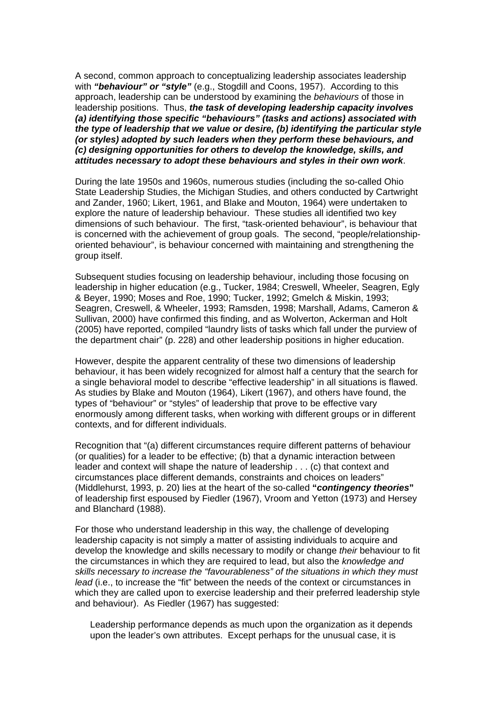A second, common approach to conceptualizing leadership associates leadership with *"behaviour" or "style"* (e.g., Stogdill and Coons, 1957). According to this approach, leadership can be understood by examining the *behaviours* of those in leadership positions. Thus, *the task of developing leadership capacity involves (a) identifying those specific "behaviours" (tasks and actions) associated with the type of leadership that we value or desire, (b) identifying the particular style (or styles) adopted by such leaders when they perform these behaviours, and (c) designing opportunities for others to develop the knowledge, skills, and attitudes necessary to adopt these behaviours and styles in their own work*.

During the late 1950s and 1960s, numerous studies (including the so-called Ohio State Leadership Studies, the Michigan Studies, and others conducted by Cartwright and Zander, 1960; Likert, 1961, and Blake and Mouton, 1964) were undertaken to explore the nature of leadership behaviour. These studies all identified two key dimensions of such behaviour. The first, "task-oriented behaviour", is behaviour that is concerned with the achievement of group goals. The second, "people/relationshiporiented behaviour", is behaviour concerned with maintaining and strengthening the group itself.

Subsequent studies focusing on leadership behaviour, including those focusing on leadership in higher education (e.g., Tucker, 1984; Creswell, Wheeler, Seagren, Egly & Beyer, 1990; Moses and Roe, 1990; Tucker, 1992; Gmelch & Miskin, 1993; Seagren, Creswell, & Wheeler, 1993; Ramsden, 1998; Marshall, Adams, Cameron & Sullivan, 2000) have confirmed this finding, and as Wolverton, Ackerman and Holt (2005) have reported, compiled "laundry lists of tasks which fall under the purview of the department chair" (p. 228) and other leadership positions in higher education.

However, despite the apparent centrality of these two dimensions of leadership behaviour, it has been widely recognized for almost half a century that the search for a single behavioral model to describe "effective leadership" in all situations is flawed. As studies by Blake and Mouton (1964), Likert (1967), and others have found, the types of "behaviour" or "styles" of leadership that prove to be effective vary enormously among different tasks, when working with different groups or in different contexts, and for different individuals.

Recognition that "(a) different circumstances require different patterns of behaviour (or qualities) for a leader to be effective; (b) that a dynamic interaction between leader and context will shape the nature of leadership . . . (c) that context and circumstances place different demands, constraints and choices on leaders" (Middlehurst, 1993, p. 20) lies at the heart of the so-called **"***contingency theories***"** of leadership first espoused by Fiedler (1967), Vroom and Yetton (1973) and Hersey and Blanchard (1988).

For those who understand leadership in this way, the challenge of developing leadership capacity is not simply a matter of assisting individuals to acquire and develop the knowledge and skills necessary to modify or change *their* behaviour to fit the circumstances in which they are required to lead, but also the *knowledge and skills necessary to increase the "favourableness" of the situations in which they must lead* (i.e., to increase the "fit" between the needs of the context or circumstances in which they are called upon to exercise leadership and their preferred leadership style and behaviour). As Fiedler (1967) has suggested:

Leadership performance depends as much upon the organization as it depends upon the leader's own attributes. Except perhaps for the unusual case, it is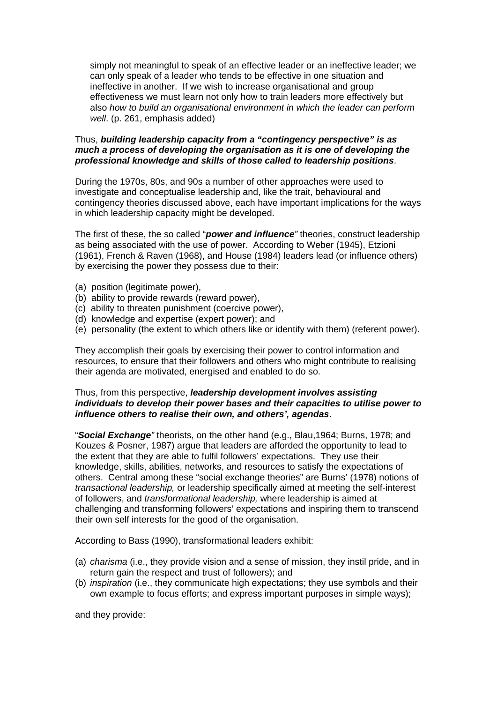simply not meaningful to speak of an effective leader or an ineffective leader; we can only speak of a leader who tends to be effective in one situation and ineffective in another. If we wish to increase organisational and group effectiveness we must learn not only how to train leaders more effectively but also *how to build an organisational environment in which the leader can perform well*. (p. 261, emphasis added)

## Thus, *building leadership capacity from a "contingency perspective" is as much a process of developing the organisation as it is one of developing the professional knowledge and skills of those called to leadership positions*.

During the 1970s, 80s, and 90s a number of other approaches were used to investigate and conceptualise leadership and, like the trait, behavioural and contingency theories discussed above, each have important implications for the ways in which leadership capacity might be developed.

The first of these, the so called "*power and influence"* theories, construct leadership as being associated with the use of power. According to Weber (1945), Etzioni (1961), French & Raven (1968), and House (1984) leaders lead (or influence others) by exercising the power they possess due to their:

- (a) position (legitimate power),
- (b) ability to provide rewards (reward power),
- (c) ability to threaten punishment (coercive power),
- (d) knowledge and expertise (expert power); and
- (e) personality (the extent to which others like or identify with them) (referent power).

They accomplish their goals by exercising their power to control information and resources, to ensure that their followers and others who might contribute to realising their agenda are motivated, energised and enabled to do so.

### Thus, from this perspective, *leadership development involves assisting individuals to develop their power bases and their capacities to utilise power to influence others to realise their own, and others', agendas*.

"*Social Exchange"* theorists, on the other hand (e.g., Blau,1964; Burns, 1978; and Kouzes & Posner, 1987) argue that leaders are afforded the opportunity to lead to the extent that they are able to fulfil followers' expectations. They use their knowledge, skills, abilities, networks, and resources to satisfy the expectations of others. Central among these "social exchange theories" are Burns' (1978) notions of *transactional leadership,* or leadership specifically aimed at meeting the self-interest of followers, and *transformational leadership,* where leadership is aimed at challenging and transforming followers' expectations and inspiring them to transcend their own self interests for the good of the organisation.

According to Bass (1990), transformational leaders exhibit:

- (a) *charisma* (i.e., they provide vision and a sense of mission, they instil pride, and in return gain the respect and trust of followers); and
- (b) *inspiration* (i.e., they communicate high expectations; they use symbols and their own example to focus efforts; and express important purposes in simple ways);

and they provide: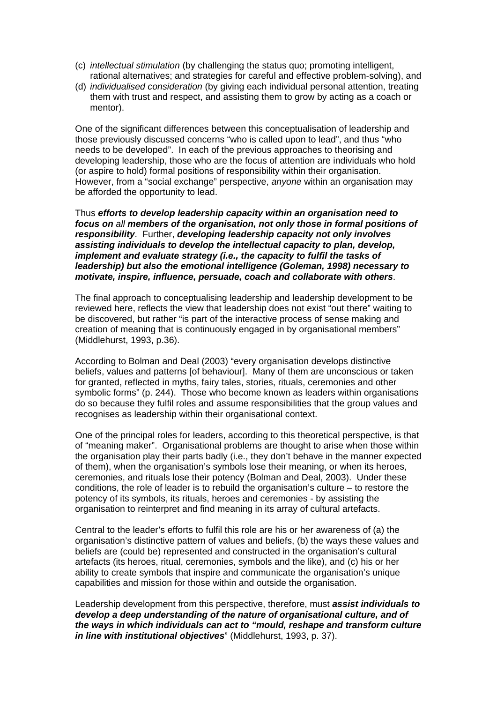- (c) *intellectual stimulation* (by challenging the status quo; promoting intelligent, rational alternatives; and strategies for careful and effective problem-solving), and
- (d) *individualised consideration* (by giving each individual personal attention, treating them with trust and respect, and assisting them to grow by acting as a coach or mentor).

One of the significant differences between this conceptualisation of leadership and those previously discussed concerns "who is called upon to lead", and thus "who needs to be developed". In each of the previous approaches to theorising and developing leadership, those who are the focus of attention are individuals who hold (or aspire to hold) formal positions of responsibility within their organisation. However, from a "social exchange" perspective, *anyone* within an organisation may be afforded the opportunity to lead.

Thus *efforts to develop leadership capacity within an organisation need to focus on all members of the organisation, not only those in formal positions of responsibility*. Further, *developing leadership capacity not only involves assisting individuals to develop the intellectual capacity to plan, develop, implement and evaluate strategy (i.e., the capacity to fulfil the tasks of leadership) but also the emotional intelligence (Goleman, 1998) necessary to motivate, inspire, influence, persuade, coach and collaborate with others*.

The final approach to conceptualising leadership and leadership development to be reviewed here, reflects the view that leadership does not exist "out there" waiting to be discovered, but rather "is part of the interactive process of sense making and creation of meaning that is continuously engaged in by organisational members" (Middlehurst, 1993, p.36).

According to Bolman and Deal (2003) "every organisation develops distinctive beliefs, values and patterns [of behaviour]. Many of them are unconscious or taken for granted, reflected in myths, fairy tales, stories, rituals, ceremonies and other symbolic forms" (p. 244). Those who become known as leaders within organisations do so because they fulfil roles and assume responsibilities that the group values and recognises as leadership within their organisational context.

One of the principal roles for leaders, according to this theoretical perspective, is that of "meaning maker". Organisational problems are thought to arise when those within the organisation play their parts badly (i.e., they don't behave in the manner expected of them), when the organisation's symbols lose their meaning, or when its heroes, ceremonies, and rituals lose their potency (Bolman and Deal, 2003). Under these conditions, the role of leader is to rebuild the organisation's culture – to restore the potency of its symbols, its rituals, heroes and ceremonies - by assisting the organisation to reinterpret and find meaning in its array of cultural artefacts.

Central to the leader's efforts to fulfil this role are his or her awareness of (a) the organisation's distinctive pattern of values and beliefs, (b) the ways these values and beliefs are (could be) represented and constructed in the organisation's cultural artefacts (its heroes, ritual, ceremonies, symbols and the like), and (c) his or her ability to create symbols that inspire and communicate the organisation's unique capabilities and mission for those within and outside the organisation.

Leadership development from this perspective, therefore, must *assist individuals to develop a deep understanding of the nature of organisational culture, and of the ways in which individuals can act to "mould, reshape and transform culture in line with institutional objectives*" (Middlehurst, 1993, p. 37).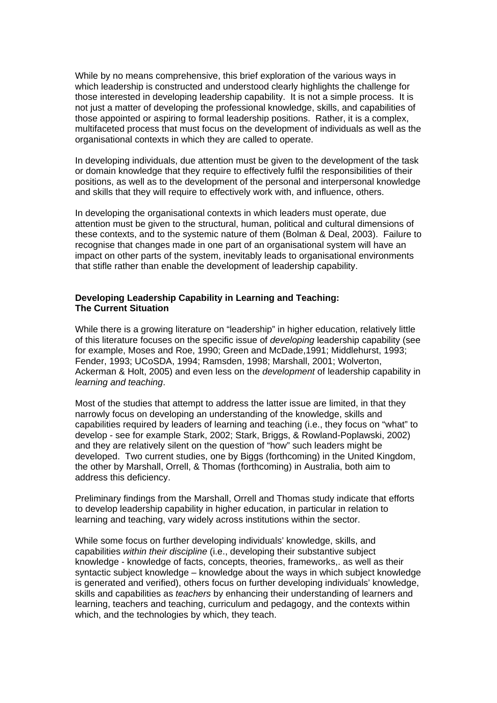While by no means comprehensive, this brief exploration of the various ways in which leadership is constructed and understood clearly highlights the challenge for those interested in developing leadership capability. It is not a simple process. It is not just a matter of developing the professional knowledge, skills, and capabilities of those appointed or aspiring to formal leadership positions. Rather, it is a complex, multifaceted process that must focus on the development of individuals as well as the organisational contexts in which they are called to operate.

In developing individuals, due attention must be given to the development of the task or domain knowledge that they require to effectively fulfil the responsibilities of their positions, as well as to the development of the personal and interpersonal knowledge and skills that they will require to effectively work with, and influence, others.

In developing the organisational contexts in which leaders must operate, due attention must be given to the structural, human, political and cultural dimensions of these contexts, and to the systemic nature of them (Bolman & Deal, 2003). Failure to recognise that changes made in one part of an organisational system will have an impact on other parts of the system, inevitably leads to organisational environments that stifle rather than enable the development of leadership capability.

# **Developing Leadership Capability in Learning and Teaching: The Current Situation**

While there is a growing literature on "leadership" in higher education, relatively little of this literature focuses on the specific issue of *developing* leadership capability (see for example, Moses and Roe, 1990; Green and McDade,1991; Middlehurst, 1993; Fender, 1993; UCoSDA, 1994; Ramsden, 1998; Marshall, 2001; Wolverton, Ackerman & Holt, 2005) and even less on the *development* of leadership capability in *learning and teaching*.

Most of the studies that attempt to address the latter issue are limited, in that they narrowly focus on developing an understanding of the knowledge, skills and capabilities required by leaders of learning and teaching (i.e., they focus on "what" to develop - see for example Stark, 2002; Stark, Briggs, & Rowland-Poplawski, 2002) and they are relatively silent on the question of "how" such leaders might be developed. Two current studies, one by Biggs (forthcoming) in the United Kingdom, the other by Marshall, Orrell, & Thomas (forthcoming) in Australia, both aim to address this deficiency.

Preliminary findings from the Marshall, Orrell and Thomas study indicate that efforts to develop leadership capability in higher education, in particular in relation to learning and teaching, vary widely across institutions within the sector.

While some focus on further developing individuals' knowledge, skills, and capabilities *within their discipline* (i.e., developing their substantive subject knowledge - knowledge of facts, concepts, theories, frameworks,. as well as their syntactic subject knowledge – knowledge about the ways in which subject knowledge is generated and verified), others focus on further developing individuals' knowledge, skills and capabilities as *teachers* by enhancing their understanding of learners and learning, teachers and teaching, curriculum and pedagogy, and the contexts within which, and the technologies by which, they teach.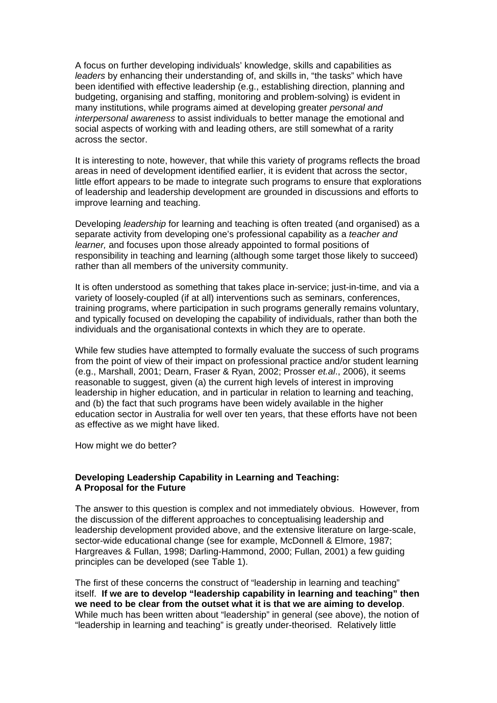A focus on further developing individuals' knowledge, skills and capabilities as *leaders* by enhancing their understanding of, and skills in, "the tasks" which have been identified with effective leadership (e.g., establishing direction, planning and budgeting, organising and staffing, monitoring and problem-solving) is evident in many institutions, while programs aimed at developing greater *personal and interpersonal awareness* to assist individuals to better manage the emotional and social aspects of working with and leading others, are still somewhat of a rarity across the sector.

It is interesting to note, however, that while this variety of programs reflects the broad areas in need of development identified earlier, it is evident that across the sector, little effort appears to be made to integrate such programs to ensure that explorations of leadership and leadership development are grounded in discussions and efforts to improve learning and teaching.

Developing *leadership* for learning and teaching is often treated (and organised) as a separate activity from developing one's professional capability as a *teacher and learner,* and focuses upon those already appointed to formal positions of responsibility in teaching and learning (although some target those likely to succeed) rather than all members of the university community.

It is often understood as something that takes place in-service; just-in-time, and via a variety of loosely-coupled (if at all) interventions such as seminars, conferences, training programs, where participation in such programs generally remains voluntary, and typically focused on developing the capability of individuals, rather than both the individuals and the organisational contexts in which they are to operate.

While few studies have attempted to formally evaluate the success of such programs from the point of view of their impact on professional practice and/or student learning (e.g., Marshall, 2001; Dearn, Fraser & Ryan, 2002; Prosser *et.al*., 2006), it seems reasonable to suggest, given (a) the current high levels of interest in improving leadership in higher education, and in particular in relation to learning and teaching, and (b) the fact that such programs have been widely available in the higher education sector in Australia for well over ten years, that these efforts have not been as effective as we might have liked.

How might we do better?

## **Developing Leadership Capability in Learning and Teaching: A Proposal for the Future**

The answer to this question is complex and not immediately obvious. However, from the discussion of the different approaches to conceptualising leadership and leadership development provided above, and the extensive literature on large-scale, sector-wide educational change (see for example, McDonnell & Elmore, 1987; Hargreaves & Fullan, 1998; Darling-Hammond, 2000; Fullan, 2001) a few guiding principles can be developed (see Table 1).

The first of these concerns the construct of "leadership in learning and teaching" itself. **If we are to develop "leadership capability in learning and teaching" then we need to be clear from the outset what it is that we are aiming to develop**. While much has been written about "leadership" in general (see above), the notion of "leadership in learning and teaching" is greatly under-theorised. Relatively little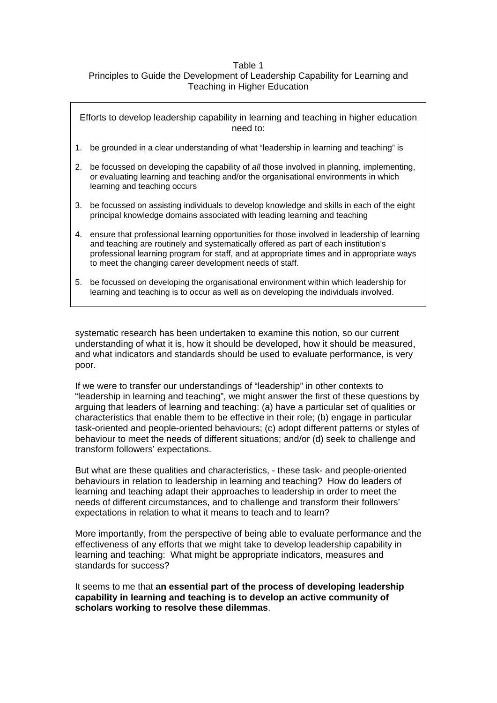## Table 1 Principles to Guide the Development of Leadership Capability for Learning and Teaching in Higher Education

Efforts to develop leadership capability in learning and teaching in higher education need to: 1. be grounded in a clear understanding of what "leadership in learning and teaching" is 2. be focussed on developing the capability of *all* those involved in planning, implementing, or evaluating learning and teaching and/or the organisational environments in which learning and teaching occurs 3. be focussed on assisting individuals to develop knowledge and skills in each of the eight principal knowledge domains associated with leading learning and teaching 4. ensure that professional learning opportunities for those involved in leadership of learning and teaching are routinely and systematically offered as part of each institution's professional learning program for staff, and at appropriate times and in appropriate ways to meet the changing career development needs of staff. 5. be focussed on developing the organisational environment within which leadership for learning and teaching is to occur as well as on developing the individuals involved.

systematic research has been undertaken to examine this notion, so our current understanding of what it is, how it should be developed, how it should be measured, and what indicators and standards should be used to evaluate performance, is very poor.

If we were to transfer our understandings of "leadership" in other contexts to "leadership in learning and teaching", we might answer the first of these questions by arguing that leaders of learning and teaching: (a) have a particular set of qualities or characteristics that enable them to be effective in their role; (b) engage in particular task-oriented and people-oriented behaviours; (c) adopt different patterns or styles of behaviour to meet the needs of different situations; and/or (d) seek to challenge and transform followers' expectations.

But what are these qualities and characteristics, - these task- and people-oriented behaviours in relation to leadership in learning and teaching? How do leaders of learning and teaching adapt their approaches to leadership in order to meet the needs of different circumstances, and to challenge and transform their followers' expectations in relation to what it means to teach and to learn?

More importantly, from the perspective of being able to evaluate performance and the effectiveness of any efforts that we might take to develop leadership capability in learning and teaching: What might be appropriate indicators, measures and standards for success?

It seems to me that **an essential part of the process of developing leadership capability in learning and teaching is to develop an active community of scholars working to resolve these dilemmas**.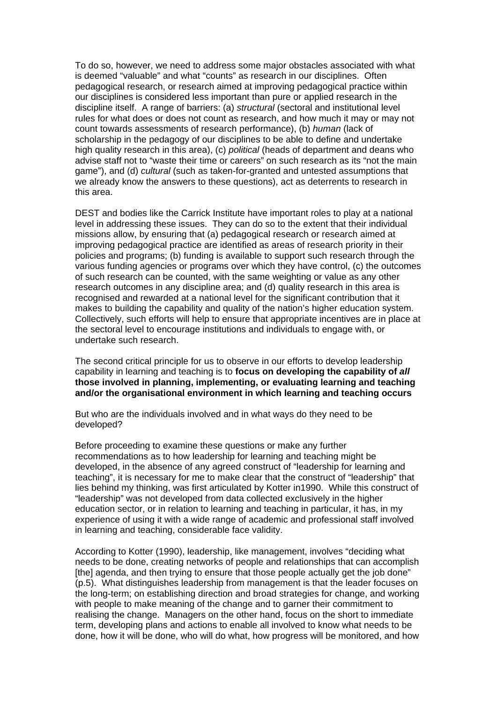To do so, however, we need to address some major obstacles associated with what is deemed "valuable" and what "counts" as research in our disciplines. Often pedagogical research, or research aimed at improving pedagogical practice within our disciplines is considered less important than pure or applied research in the discipline itself. A range of barriers: (a) *structural* (sectoral and institutional level rules for what does or does not count as research, and how much it may or may not count towards assessments of research performance), (b) *human* (lack of scholarship in the pedagogy of our disciplines to be able to define and undertake high quality research in this area), (c) *political* (heads of department and deans who advise staff not to "waste their time or careers" on such research as its "not the main game"), and (d) *cultural* (such as taken-for-granted and untested assumptions that we already know the answers to these questions), act as deterrents to research in this area.

DEST and bodies like the Carrick Institute have important roles to play at a national level in addressing these issues. They can do so to the extent that their individual missions allow, by ensuring that (a) pedagogical research or research aimed at improving pedagogical practice are identified as areas of research priority in their policies and programs; (b) funding is available to support such research through the various funding agencies or programs over which they have control, (c) the outcomes of such research can be counted, with the same weighting or value as any other research outcomes in any discipline area; and (d) quality research in this area is recognised and rewarded at a national level for the significant contribution that it makes to building the capability and quality of the nation's higher education system. Collectively, such efforts will help to ensure that appropriate incentives are in place at the sectoral level to encourage institutions and individuals to engage with, or undertake such research.

The second critical principle for us to observe in our efforts to develop leadership capability in learning and teaching is to **focus on developing the capability of** *all* **those involved in planning, implementing, or evaluating learning and teaching and/or the organisational environment in which learning and teaching occurs**

But who are the individuals involved and in what ways do they need to be developed?

Before proceeding to examine these questions or make any further recommendations as to how leadership for learning and teaching might be developed, in the absence of any agreed construct of "leadership for learning and teaching", it is necessary for me to make clear that the construct of "leadership" that lies behind my thinking, was first articulated by Kotter in1990. While this construct of "leadership" was not developed from data collected exclusively in the higher education sector, or in relation to learning and teaching in particular, it has, in my experience of using it with a wide range of academic and professional staff involved in learning and teaching, considerable face validity.

According to Kotter (1990), leadership, like management, involves "deciding what needs to be done, creating networks of people and relationships that can accomplish [the] agenda, and then trying to ensure that those people actually get the job done" (p.5). What distinguishes leadership from management is that the leader focuses on the long-term; on establishing direction and broad strategies for change, and working with people to make meaning of the change and to garner their commitment to realising the change. Managers on the other hand, focus on the short to immediate term, developing plans and actions to enable all involved to know what needs to be done, how it will be done, who will do what, how progress will be monitored, and how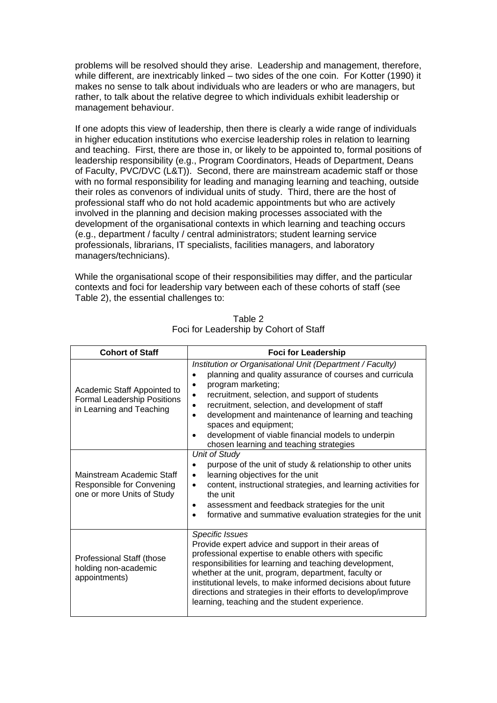problems will be resolved should they arise. Leadership and management, therefore, while different, are inextricably linked – two sides of the one coin. For Kotter (1990) it makes no sense to talk about individuals who are leaders or who are managers, but rather, to talk about the relative degree to which individuals exhibit leadership or management behaviour.

If one adopts this view of leadership, then there is clearly a wide range of individuals in higher education institutions who exercise leadership roles in relation to learning and teaching. First, there are those in, or likely to be appointed to, formal positions of leadership responsibility (e.g., Program Coordinators, Heads of Department, Deans of Faculty, PVC/DVC (L&T)). Second, there are mainstream academic staff or those with no formal responsibility for leading and managing learning and teaching, outside their roles as convenors of individual units of study. Third, there are the host of professional staff who do not hold academic appointments but who are actively involved in the planning and decision making processes associated with the development of the organisational contexts in which learning and teaching occurs (e.g., department / faculty / central administrators; student learning service professionals, librarians, IT specialists, facilities managers, and laboratory managers/technicians).

While the organisational scope of their responsibilities may differ, and the particular contexts and foci for leadership vary between each of these cohorts of staff (see Table 2), the essential challenges to:

| <b>Cohort of Staff</b>                                                                        | <b>Foci for Leadership</b>                                                                                                                                                                                                                                                                                                                                                                                                                                                                           |
|-----------------------------------------------------------------------------------------------|------------------------------------------------------------------------------------------------------------------------------------------------------------------------------------------------------------------------------------------------------------------------------------------------------------------------------------------------------------------------------------------------------------------------------------------------------------------------------------------------------|
| Academic Staff Appointed to<br><b>Formal Leadership Positions</b><br>in Learning and Teaching | Institution or Organisational Unit (Department / Faculty)<br>planning and quality assurance of courses and curricula<br>$\bullet$<br>program marketing;<br>$\bullet$<br>recruitment, selection, and support of students<br>recruitment, selection, and development of staff<br>$\bullet$<br>development and maintenance of learning and teaching<br>$\bullet$<br>spaces and equipment;<br>development of viable financial models to underpin<br>$\bullet$<br>chosen learning and teaching strategies |
| Mainstream Academic Staff<br>Responsible for Convening<br>one or more Units of Study          | <b>Unit of Study</b><br>purpose of the unit of study & relationship to other units<br>$\bullet$<br>learning objectives for the unit<br>$\bullet$<br>content, instructional strategies, and learning activities for<br>$\bullet$<br>the unit<br>assessment and feedback strategies for the unit<br>٠<br>formative and summative evaluation strategies for the unit<br>$\bullet$                                                                                                                       |
| Professional Staff (those<br>holding non-academic<br>appointments)                            | <b>Specific Issues</b><br>Provide expert advice and support in their areas of<br>professional expertise to enable others with specific<br>responsibilities for learning and teaching development,<br>whether at the unit, program, department, faculty or<br>institutional levels, to make informed decisions about future<br>directions and strategies in their efforts to develop/improve<br>learning, teaching and the student experience.                                                        |

Table 2 Foci for Leadership by Cohort of Staff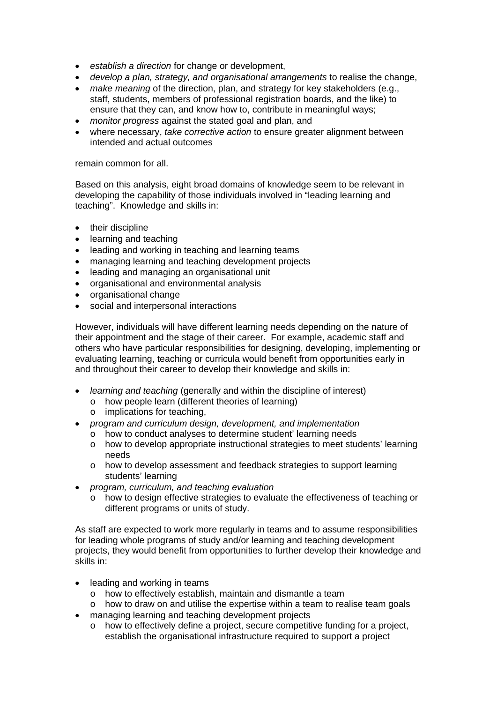- *establish a direction* for change or development,
- *develop a plan, strategy, and organisational arrangements* to realise the change,
- *make meaning* of the direction, plan, and strategy for key stakeholders (e.g., staff, students, members of professional registration boards, and the like) to ensure that they can, and know how to, contribute in meaningful ways;
- *monitor progress* against the stated goal and plan, and
- where necessary, *take corrective action* to ensure greater alignment between intended and actual outcomes

remain common for all.

Based on this analysis, eight broad domains of knowledge seem to be relevant in developing the capability of those individuals involved in "leading learning and teaching". Knowledge and skills in:

- their discipline
- learning and teaching
- leading and working in teaching and learning teams
- managing learning and teaching development projects
- leading and managing an organisational unit
- organisational and environmental analysis
- organisational change
- social and interpersonal interactions

However, individuals will have different learning needs depending on the nature of their appointment and the stage of their career. For example, academic staff and others who have particular responsibilities for designing, developing, implementing or evaluating learning, teaching or curricula would benefit from opportunities early in and throughout their career to develop their knowledge and skills in:

- *learning and teaching* (generally and within the discipline of interest)
	- o how people learn (different theories of learning)
	- o implications for teaching,
- *program and curriculum design, development, and implementation* 
	- o how to conduct analyses to determine student' learning needs
	- o how to develop appropriate instructional strategies to meet students' learning needs
	- o how to develop assessment and feedback strategies to support learning students' learning
- *program, curriculum, and teaching evaluation* 
	- o how to design effective strategies to evaluate the effectiveness of teaching or different programs or units of study.

As staff are expected to work more regularly in teams and to assume responsibilities for leading whole programs of study and/or learning and teaching development projects, they would benefit from opportunities to further develop their knowledge and skills in:

- leading and working in teams
	- o how to effectively establish, maintain and dismantle a team
	- $\circ$  how to draw on and utilise the expertise within a team to realise team goals
- managing learning and teaching development projects
	- o how to effectively define a project, secure competitive funding for a project, establish the organisational infrastructure required to support a project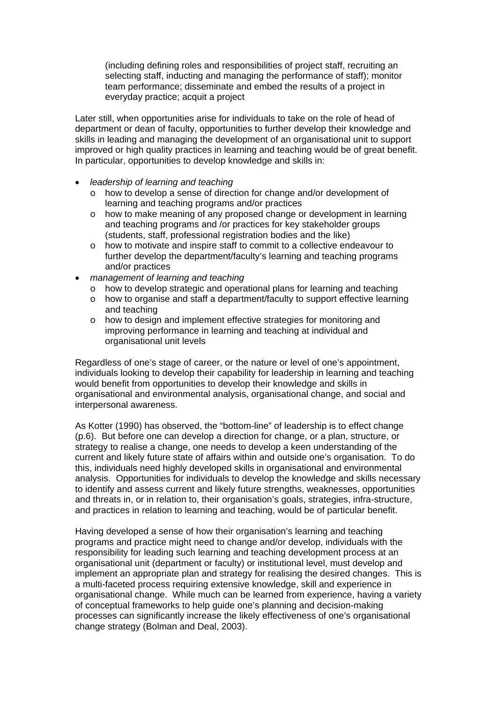(including defining roles and responsibilities of project staff, recruiting an selecting staff, inducting and managing the performance of staff); monitor team performance; disseminate and embed the results of a project in everyday practice; acquit a project

Later still, when opportunities arise for individuals to take on the role of head of department or dean of faculty, opportunities to further develop their knowledge and skills in leading and managing the development of an organisational unit to support improved or high quality practices in learning and teaching would be of great benefit. In particular, opportunities to develop knowledge and skills in:

- *leadership of learning and teaching* 
	- o how to develop a sense of direction for change and/or development of learning and teaching programs and/or practices
	- o how to make meaning of any proposed change or development in learning and teaching programs and /or practices for key stakeholder groups (students, staff, professional registration bodies and the like)
	- o how to motivate and inspire staff to commit to a collective endeavour to further develop the department/faculty's learning and teaching programs and/or practices
- *management of learning and teaching* 
	- o how to develop strategic and operational plans for learning and teaching
	- o how to organise and staff a department/faculty to support effective learning and teaching
	- o how to design and implement effective strategies for monitoring and improving performance in learning and teaching at individual and organisational unit levels

Regardless of one's stage of career, or the nature or level of one's appointment, individuals looking to develop their capability for leadership in learning and teaching would benefit from opportunities to develop their knowledge and skills in organisational and environmental analysis, organisational change, and social and interpersonal awareness.

As Kotter (1990) has observed, the "bottom-line" of leadership is to effect change (p.6). But before one can develop a direction for change, or a plan, structure, or strategy to realise a change, one needs to develop a keen understanding of the current and likely future state of affairs within and outside one's organisation. To do this, individuals need highly developed skills in organisational and environmental analysis. Opportunities for individuals to develop the knowledge and skills necessary to identify and assess current and likely future strengths, weaknesses, opportunities and threats in, or in relation to, their organisation's goals, strategies, infra-structure, and practices in relation to learning and teaching, would be of particular benefit.

Having developed a sense of how their organisation's learning and teaching programs and practice might need to change and/or develop, individuals with the responsibility for leading such learning and teaching development process at an organisational unit (department or faculty) or institutional level, must develop and implement an appropriate plan and strategy for realising the desired changes. This is a multi-faceted process requiring extensive knowledge, skill and experience in organisational change. While much can be learned from experience, having a variety of conceptual frameworks to help guide one's planning and decision-making processes can significantly increase the likely effectiveness of one's organisational change strategy (Bolman and Deal, 2003).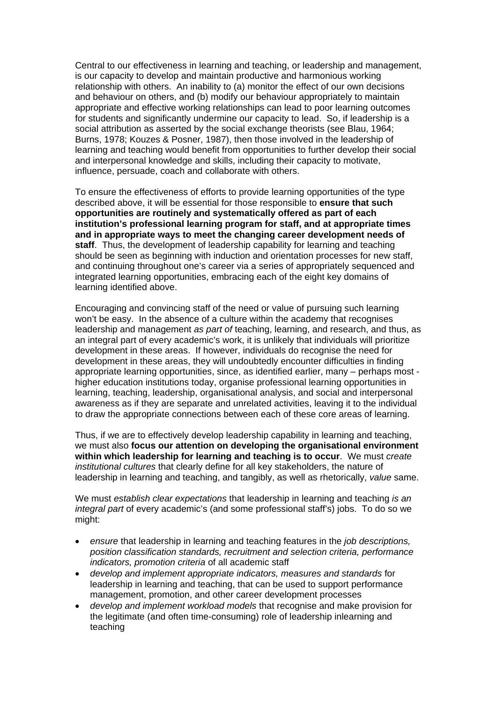Central to our effectiveness in learning and teaching, or leadership and management, is our capacity to develop and maintain productive and harmonious working relationship with others. An inability to (a) monitor the effect of our own decisions and behaviour on others, and (b) modify our behaviour appropriately to maintain appropriate and effective working relationships can lead to poor learning outcomes for students and significantly undermine our capacity to lead. So, if leadership is a social attribution as asserted by the social exchange theorists (see Blau, 1964; Burns, 1978; Kouzes & Posner, 1987), then those involved in the leadership of learning and teaching would benefit from opportunities to further develop their social and interpersonal knowledge and skills, including their capacity to motivate, influence, persuade, coach and collaborate with others.

To ensure the effectiveness of efforts to provide learning opportunities of the type described above, it will be essential for those responsible to **ensure that such opportunities are routinely and systematically offered as part of each institution's professional learning program for staff, and at appropriate times and in appropriate ways to meet the changing career development needs of staff**. Thus, the development of leadership capability for learning and teaching should be seen as beginning with induction and orientation processes for new staff, and continuing throughout one's career via a series of appropriately sequenced and integrated learning opportunities, embracing each of the eight key domains of learning identified above.

Encouraging and convincing staff of the need or value of pursuing such learning won't be easy. In the absence of a culture within the academy that recognises leadership and management *as part of* teaching, learning, and research, and thus, as an integral part of every academic's work, it is unlikely that individuals will prioritize development in these areas. If however, individuals do recognise the need for development in these areas, they will undoubtedly encounter difficulties in finding appropriate learning opportunities, since, as identified earlier, many – perhaps most higher education institutions today, organise professional learning opportunities in learning, teaching, leadership, organisational analysis, and social and interpersonal awareness as if they are separate and unrelated activities, leaving it to the individual to draw the appropriate connections between each of these core areas of learning.

Thus, if we are to effectively develop leadership capability in learning and teaching, we must also **focus our attention on developing the organisational environment within which leadership for learning and teaching is to occur**. We must *create institutional cultures* that clearly define for all key stakeholders, the nature of leadership in learning and teaching, and tangibly, as well as rhetorically, *value* same.

We must *establish clear expectations* that leadership in learning and teaching *is an integral part* of every academic's (and some professional staff's) jobs. To do so we might:

- *ensure* that leadership in learning and teaching features in the *job descriptions, position classification standards, recruitment and selection criteria, performance indicators, promotion criteria* of all academic staff
- *develop and implement appropriate indicators, measures and standards* for leadership in learning and teaching, that can be used to support performance management, promotion, and other career development processes
- *develop and implement workload models* that recognise and make provision for the legitimate (and often time-consuming) role of leadership inlearning and teaching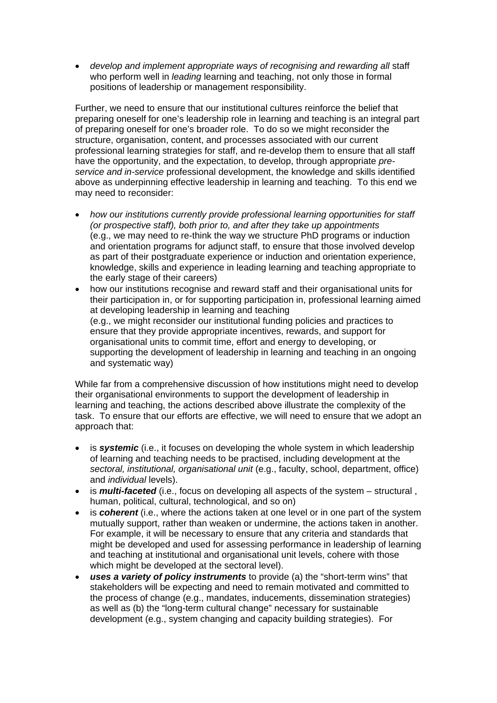develop and implement appropriate ways of recognising and rewarding all staff who perform well in *leading* learning and teaching, not only those in formal positions of leadership or management responsibility.

Further, we need to ensure that our institutional cultures reinforce the belief that preparing oneself for one's leadership role in learning and teaching is an integral part of preparing oneself for one's broader role. To do so we might reconsider the structure, organisation, content, and processes associated with our current professional learning strategies for staff, and re-develop them to ensure that all staff have the opportunity, and the expectation, to develop, through appropriate *preservice and in-service* professional development, the knowledge and skills identified above as underpinning effective leadership in learning and teaching. To this end we may need to reconsider:

- *how our institutions currently provide professional learning opportunities for staff (or prospective staff), both prior to, and after they take up appointments*  (e.g., we may need to re-think the way we structure PhD programs or induction and orientation programs for adjunct staff, to ensure that those involved develop as part of their postgraduate experience or induction and orientation experience, knowledge, skills and experience in leading learning and teaching appropriate to the early stage of their careers)
- how our institutions recognise and reward staff and their organisational units for their participation in, or for supporting participation in, professional learning aimed at developing leadership in learning and teaching (e.g., we might reconsider our institutional funding policies and practices to ensure that they provide appropriate incentives, rewards, and support for organisational units to commit time, effort and energy to developing, or supporting the development of leadership in learning and teaching in an ongoing and systematic way)

While far from a comprehensive discussion of how institutions might need to develop their organisational environments to support the development of leadership in learning and teaching, the actions described above illustrate the complexity of the task. To ensure that our efforts are effective, we will need to ensure that we adopt an approach that:

- is *systemic* (i.e., it focuses on developing the whole system in which leadership of learning and teaching needs to be practised, including development at the *sectoral, institutional, organisational unit* (e.g., faculty, school, department, office) and *individual* levels).
- is *multi-faceted* (i.e., focus on developing all aspects of the system structural, human, political, cultural, technological, and so on)
- is *coherent* (i.e., where the actions taken at one level or in one part of the system mutually support, rather than weaken or undermine, the actions taken in another. For example, it will be necessary to ensure that any criteria and standards that might be developed and used for assessing performance in leadership of learning and teaching at institutional and organisational unit levels, cohere with those which might be developed at the sectoral level).
- *uses a variety of policy instruments* to provide (a) the "short-term wins" that stakeholders will be expecting and need to remain motivated and committed to the process of change (e.g., mandates, inducements, dissemination strategies) as well as (b) the "long-term cultural change" necessary for sustainable development (e.g., system changing and capacity building strategies). For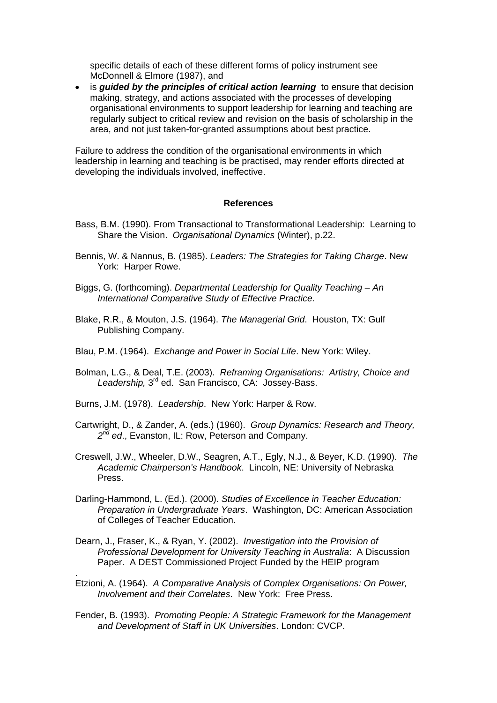specific details of each of these different forms of policy instrument see McDonnell & Elmore (1987), and

• is *guided by the principles of critical action learning* to ensure that decision making, strategy, and actions associated with the processes of developing organisational environments to support leadership for learning and teaching are regularly subject to critical review and revision on the basis of scholarship in the area, and not just taken-for-granted assumptions about best practice.

Failure to address the condition of the organisational environments in which leadership in learning and teaching is be practised, may render efforts directed at developing the individuals involved, ineffective.

#### **References**

- Bass, B.M. (1990). From Transactional to Transformational Leadership: Learning to Share the Vision. *Organisational Dynamics* (Winter), p.22.
- Bennis, W. & Nannus, B. (1985). *Leaders: The Strategies for Taking Charge*. New York: Harper Rowe.
- Biggs, G. (forthcoming). *Departmental Leadership for Quality Teaching An International Comparative Study of Effective Practice.*
- Blake, R.R., & Mouton, J.S. (1964). *The Managerial Grid*. Houston, TX: Gulf Publishing Company.
- Blau, P.M. (1964). *Exchange and Power in Social Life*. New York: Wiley.
- Bolman, L.G., & Deal, T.E. (2003). *Reframing Organisations: Artistry, Choice and*  Leadership, 3<sup>rd</sup> ed. San Francisco, CA: Jossey-Bass.
- Burns, J.M. (1978). *Leadership*. New York: Harper & Row.

.

- Cartwright, D., & Zander, A. (eds.) (1960). *Group Dynamics: Research and Theory, 2nd ed*., Evanston, IL: Row, Peterson and Company.
- Creswell, J.W., Wheeler, D.W., Seagren, A.T., Egly, N.J., & Beyer, K.D. (1990). *The Academic Chairperson's Handbook*. Lincoln, NE: University of Nebraska Press.
- Darling-Hammond, L. (Ed.). (2000). *Studies of Excellence in Teacher Education: Preparation in Undergraduate Years*. Washington, DC: American Association of Colleges of Teacher Education.
- Dearn, J., Fraser, K., & Ryan, Y. (2002). *Investigation into the Provision of Professional Development for University Teaching in Australia*: A Discussion Paper. A DEST Commissioned Project Funded by the HEIP program
- Etzioni, A. (1964). *A Comparative Analysis of Complex Organisations: On Power, Involvement and their Correlates*. New York: Free Press.
- Fender, B. (1993). *Promoting People: A Strategic Framework for the Management and Development of Staff in UK Universities*. London: CVCP.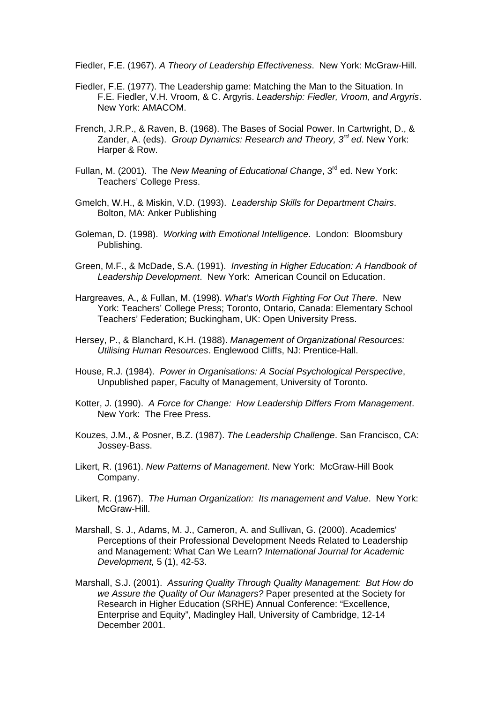Fiedler, F.E. (1967). *A Theory of Leadership Effectiveness*. New York: McGraw-Hill.

- Fiedler, F.E. (1977). The Leadership game: Matching the Man to the Situation. In F.E. Fiedler, V.H. Vroom, & C. Argyris. *Leadership: Fiedler, Vroom, and Argyris*. New York: AMACOM.
- French, J.R.P., & Raven, B. (1968). The Bases of Social Power. In Cartwright, D., & Zander, A. (eds). *Group Dynamics: Research and Theory, 3rd ed*. New York: Harper & Row.
- Fullan, M. (2001). The *New Meaning of Educational Change*, 3rd ed. New York: Teachers' College Press.
- Gmelch, W.H., & Miskin, V.D. (1993). *Leadership Skills for Department Chairs*. Bolton, MA: Anker Publishing
- Goleman, D. (1998). *Working with Emotional Intelligence*. London: Bloomsbury Publishing.
- Green, M.F., & McDade, S.A. (1991). *Investing in Higher Education: A Handbook of Leadership Development*. New York: American Council on Education.
- Hargreaves, A., & Fullan, M. (1998). *What's Worth Fighting For Out There*. New York: Teachers' College Press; Toronto, Ontario, Canada: Elementary School Teachers' Federation; Buckingham, UK: Open University Press.
- Hersey, P., & Blanchard, K.H. (1988). *Management of Organizational Resources: Utilising Human Resources*. Englewood Cliffs, NJ: Prentice-Hall.
- House, R.J. (1984). *Power in Organisations: A Social Psychological Perspective*, Unpublished paper, Faculty of Management, University of Toronto.
- Kotter, J. (1990). *A Force for Change: How Leadership Differs From Management*. New York: The Free Press.
- Kouzes, J.M., & Posner, B.Z. (1987). *The Leadership Challenge*. San Francisco, CA: Jossey-Bass.
- Likert, R. (1961). *New Patterns of Management*. New York: McGraw-Hill Book Company.
- Likert, R. (1967). *The Human Organization: Its management and Value*. New York: McGraw-Hill.
- Marshall, S. J., Adams, M. J., Cameron, A. and Sullivan, G. (2000). Academics' Perceptions of their Professional Development Needs Related to Leadership and Management: What Can We Learn? *International Journal for Academic Development,* 5 (1), 42-53.
- Marshall, S.J. (2001). *Assuring Quality Through Quality Management: But How do we Assure the Quality of Our Managers?* Paper presented at the Society for Research in Higher Education (SRHE) Annual Conference: "Excellence, Enterprise and Equity", Madingley Hall, University of Cambridge, 12-14 December 2001.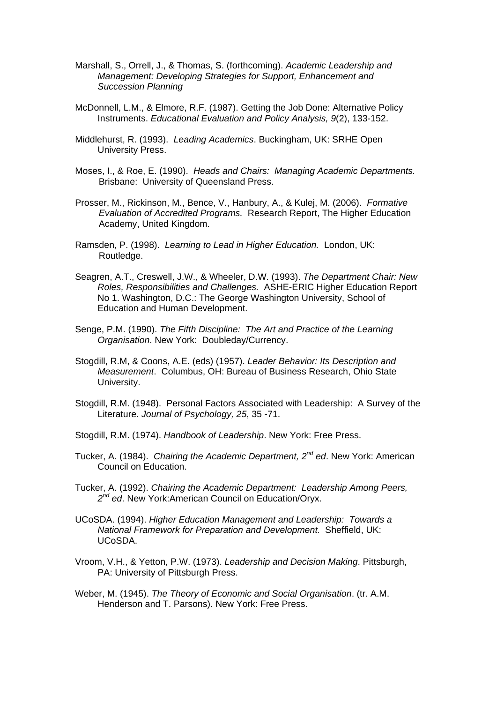- Marshall, S., Orrell, J., & Thomas, S. (forthcoming). *Academic Leadership and Management: Developing Strategies for Support, Enhancement and Succession Planning*
- McDonnell, L.M., & Elmore, R.F. (1987). Getting the Job Done: Alternative Policy Instruments. *Educational Evaluation and Policy Analysis, 9*(2), 133-152.
- Middlehurst, R. (1993). *Leading Academics*. Buckingham, UK: SRHE Open University Press.
- Moses, I., & Roe, E. (1990). *Heads and Chairs: Managing Academic Departments.* Brisbane: University of Queensland Press.
- Prosser, M., Rickinson, M., Bence, V., Hanbury, A., & Kulej, M. (2006). *Formative Evaluation of Accredited Programs.* Research Report, The Higher Education Academy, United Kingdom.
- Ramsden, P. (1998). *Learning to Lead in Higher Education.* London, UK: Routledge.
- Seagren, A.T., Creswell, J.W., & Wheeler, D.W. (1993). *The Department Chair: New Roles, Responsibilities and Challenges.* ASHE-ERIC Higher Education Report No 1. Washington, D.C.: The George Washington University, School of Education and Human Development.
- Senge, P.M. (1990). *The Fifth Discipline: The Art and Practice of the Learning Organisation*. New York: Doubleday/Currency.
- Stogdill, R.M, & Coons, A.E. (eds) (1957). *Leader Behavior: Its Description and Measurement*. Columbus, OH: Bureau of Business Research, Ohio State University.
- Stogdill, R.M. (1948). Personal Factors Associated with Leadership: A Survey of the Literature. *Journal of Psychology, 25*, 35 -71.
- Stogdill, R.M. (1974). *Handbook of Leadership*. New York: Free Press.
- Tucker, A. (1984). *Chairing the Academic Department, 2nd ed*. New York: American Council on Education.
- Tucker, A. (1992). *Chairing the Academic Department: Leadership Among Peers, 2nd ed*. New York:American Council on Education/Oryx.
- UCoSDA. (1994). *Higher Education Management and Leadership: Towards a National Framework for Preparation and Development.* Sheffield, UK: UCoSDA.
- Vroom, V.H., & Yetton, P.W. (1973). *Leadership and Decision Making*. Pittsburgh, PA: University of Pittsburgh Press.
- Weber, M. (1945). *The Theory of Economic and Social Organisation*. (tr. A.M. Henderson and T. Parsons). New York: Free Press.